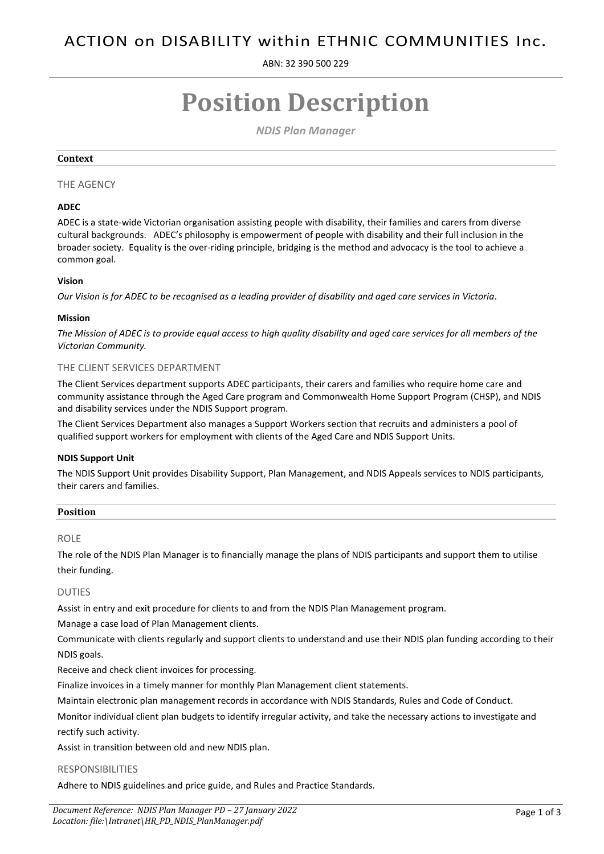ABN: 32 390 500 229

# **Position Description**

*NDIS Plan Manager*

#### **Context**

# THE AGENCY

# **ADEC**

ADEC is a state-wide Victorian organisation assisting people with disability, their families and carers from diverse cultural backgrounds. ADEC's philosophy is empowerment of people with disability and their full inclusion in the broader society. Equality is the over-riding principle, bridging is the method and advocacy is the tool to achieve a common goal.

# **Vision**

*Our Vision is for ADEC to be recognised as a leading provider of disability and aged care services in Victoria.*

#### **Mission**

*The Mission of ADEC is to provide equal access to high quality disability and aged care services for all members of the Victorian Community.*

# THE CLIENT SERVICES DEPARTMENT

The Client Services department supports ADEC participants, their carers and families who require home care and community assistance through the Aged Care program and Commonwealth Home Support Program (CHSP), and NDIS and disability services under the NDIS Support program.

The Client Services Department also manages a Support Workers section that recruits and administers a pool of qualified support workers for employment with clients of the Aged Care and NDIS Support Units.

# **NDIS Support Unit**

The NDIS Support Unit provides Disability Support, Plan Management, and NDIS Appeals services to NDIS participants, their carers and families.

| <b>Position</b> |  |
|-----------------|--|
|                 |  |

#### ROLE

The role of the NDIS Plan Manager is to financially manage the plans of NDIS participants and support them to utilise their funding.

# DUTIES

Assist in entry and exit procedure for clients to and from the NDIS Plan Management program.

Manage a case load of Plan Management clients.

Communicate with clients regularly and support clients to understand and use their NDIS plan funding according to their NDIS goals.

Receive and check client invoices for processing.

Finalize invoices in a timely manner for monthly Plan Management client statements.

Maintain electronic plan management records in accordance with NDIS Standards, Rules and Code of Conduct.

Monitor individual client plan budgets to identify irregular activity, and take the necessary actions to investigate and rectify such activity.

Assist in transition between old and new NDIS plan.

# RESPONSIBILITIES

Adhere to NDIS guidelines and price guide, and Rules and Practice Standards.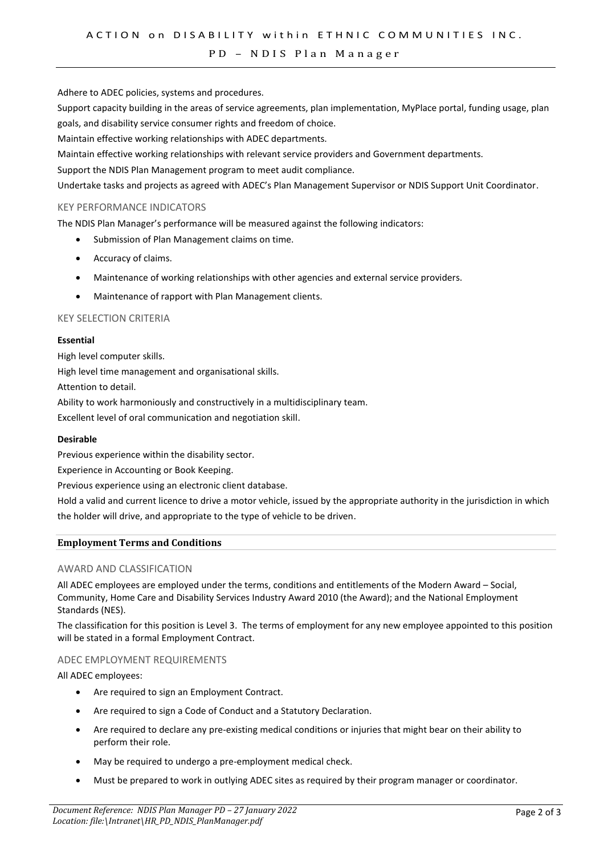#### PD - NDIS Plan Manager

Adhere to ADEC policies, systems and procedures.

Support capacity building in the areas of service agreements, plan implementation, MyPlace portal, funding usage, plan goals, and disability service consumer rights and freedom of choice.

Maintain effective working relationships with ADEC departments.

Maintain effective working relationships with relevant service providers and Government departments.

Support the NDIS Plan Management program to meet audit compliance.

Undertake tasks and projects as agreed with ADEC's Plan Management Supervisor or NDIS Support Unit Coordinator.

# KEY PERFORMANCE INDICATORS

The NDIS Plan Manager's performance will be measured against the following indicators:

- Submission of Plan Management claims on time.
- Accuracy of claims.
- Maintenance of working relationships with other agencies and external service providers.
- Maintenance of rapport with Plan Management clients.

# KEY SELECTION CRITERIA

#### **Essential**

High level computer skills.

High level time management and organisational skills.

Attention to detail.

Ability to work harmoniously and constructively in a multidisciplinary team.

Excellent level of oral communication and negotiation skill.

#### **Desirable**

Previous experience within the disability sector.

Experience in Accounting or Book Keeping.

Previous experience using an electronic client database.

Hold a valid and current licence to drive a motor vehicle, issued by the appropriate authority in the jurisdiction in which the holder will drive, and appropriate to the type of vehicle to be driven.

# **Employment Terms and Conditions**

# AWARD AND CLASSIFICATION

All ADEC employees are employed under the terms, conditions and entitlements of the Modern Award – Social, Community, Home Care and Disability Services Industry Award 2010 (the Award); and the National Employment Standards (NES).

The classification for this position is Level 3. The terms of employment for any new employee appointed to this position will be stated in a formal Employment Contract.

# ADEC EMPLOYMENT REQUIREMENTS

All ADEC employees:

- Are required to sign an Employment Contract.
- Are required to sign a Code of Conduct and a Statutory Declaration.
- Are required to declare any pre-existing medical conditions or injuries that might bear on their ability to perform their role.
- May be required to undergo a pre-employment medical check.
- Must be prepared to work in outlying ADEC sites as required by their program manager or coordinator.